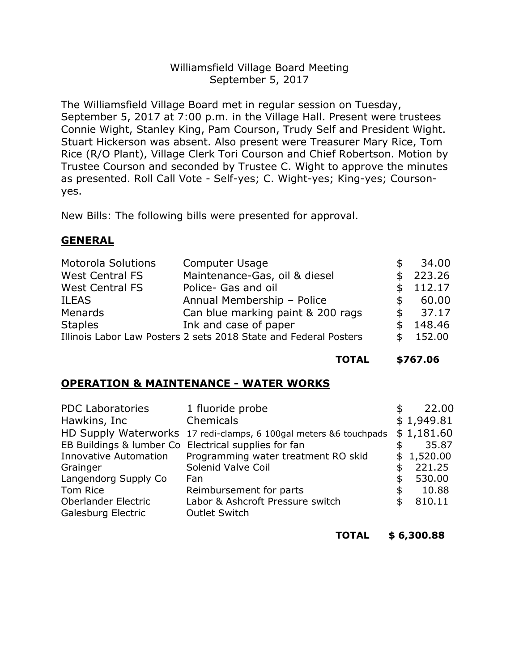# Williamsfield Village Board Meeting September 5, 2017

The Williamsfield Village Board met in regular session on Tuesday, September 5, 2017 at 7:00 p.m. in the Village Hall. Present were trustees Connie Wight, Stanley King, Pam Courson, Trudy Self and President Wight. Stuart Hickerson was absent. Also present were Treasurer Mary Rice, Tom Rice (R/O Plant), Village Clerk Tori Courson and Chief Robertson. Motion by Trustee Courson and seconded by Trustee C. Wight to approve the minutes as presented. Roll Call Vote - Self-yes; C. Wight-yes; King-yes; Coursonyes.

New Bills: The following bills were presented for approval.

## **GENERAL**

| <b>Motorola Solutions</b> | <b>Computer Usage</b>                                            |     | 34.00    |
|---------------------------|------------------------------------------------------------------|-----|----------|
| <b>West Central FS</b>    | Maintenance-Gas, oil & diesel                                    |     | 223.26   |
| <b>West Central FS</b>    | Police- Gas and oil                                              |     | \$112.17 |
| <b>ILEAS</b>              | Annual Membership - Police                                       | SS. | 60.00    |
| Menards                   | Can blue marking paint & 200 rags                                | \$. | 37.17    |
| <b>Staples</b>            | Ink and case of paper                                            |     | 148.46   |
|                           | Illinois Labor Law Posters 2 sets 2018 State and Federal Posters |     | 152.00   |

**TOTAL \$767.06**

# **OPERATION & MAINTENANCE - WATER WORKS**

| <b>PDC Laboratories</b>      | 1 fluoride probe                                                  | S  | 22.00      |
|------------------------------|-------------------------------------------------------------------|----|------------|
| Hawkins, Inc.                | Chemicals                                                         |    | \$1,949.81 |
|                              | HD Supply Waterworks 17 redi-clamps, 6 100gal meters &6 touchpads |    | \$1,181.60 |
|                              | EB Buildings & lumber Co Electrical supplies for fan              |    | 35.87      |
| <b>Innovative Automation</b> | Programming water treatment RO skid                               | \$ | 1,520.00   |
| Grainger                     | Solenid Valve Coil                                                | \$ | 221.25     |
| Langendorg Supply Co         | Fan                                                               | \$ | 530.00     |
| Tom Rice                     | Reimbursement for parts                                           | \$ | 10.88      |
| <b>Oberlander Electric</b>   | Labor & Ashcroft Pressure switch                                  | \$ | 810.11     |
| Galesburg Electric           | <b>Outlet Switch</b>                                              |    |            |

**TOTAL \$ 6,300.88**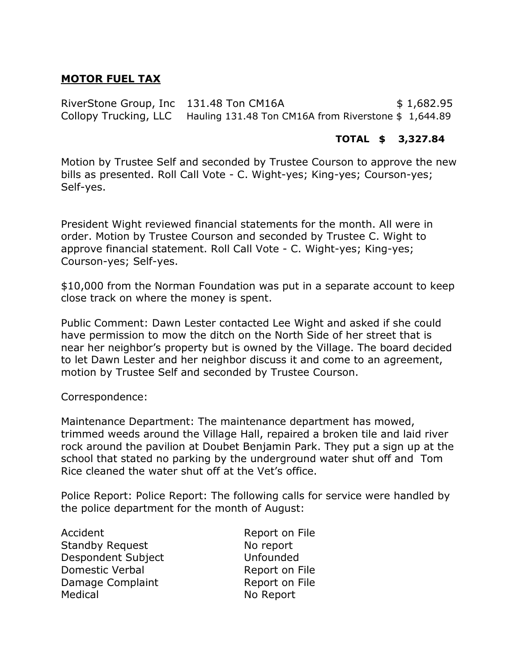# **MOTOR FUEL TAX**

RiverStone Group, Inc 131.48 Ton CM16A  $$1,682.95$ Collopy Trucking, LLC Hauling 131.48 Ton CM16A from Riverstone \$ 1,644.89

## **TOTAL \$ 3,327.84**

Motion by Trustee Self and seconded by Trustee Courson to approve the new bills as presented. Roll Call Vote - C. Wight-yes; King-yes; Courson-yes; Self-yes.

President Wight reviewed financial statements for the month. All were in order. Motion by Trustee Courson and seconded by Trustee C. Wight to approve financial statement. Roll Call Vote - C. Wight-yes; King-yes; Courson-yes; Self-yes.

\$10,000 from the Norman Foundation was put in a separate account to keep close track on where the money is spent.

Public Comment: Dawn Lester contacted Lee Wight and asked if she could have permission to mow the ditch on the North Side of her street that is near her neighbor's property but is owned by the Village. The board decided to let Dawn Lester and her neighbor discuss it and come to an agreement, motion by Trustee Self and seconded by Trustee Courson.

#### Correspondence:

Maintenance Department: The maintenance department has mowed, trimmed weeds around the Village Hall, repaired a broken tile and laid river rock around the pavilion at Doubet Benjamin Park. They put a sign up at the school that stated no parking by the underground water shut off and Tom Rice cleaned the water shut off at the Vet's office.

Police Report: Police Report: The following calls for service were handled by the police department for the month of August:

| Accident               | Report on File |
|------------------------|----------------|
| <b>Standby Request</b> | No report      |
| Despondent Subject     | Unfounded      |
| Domestic Verbal        | Report on File |
| Damage Complaint       | Report on File |
| Medical                | No Report      |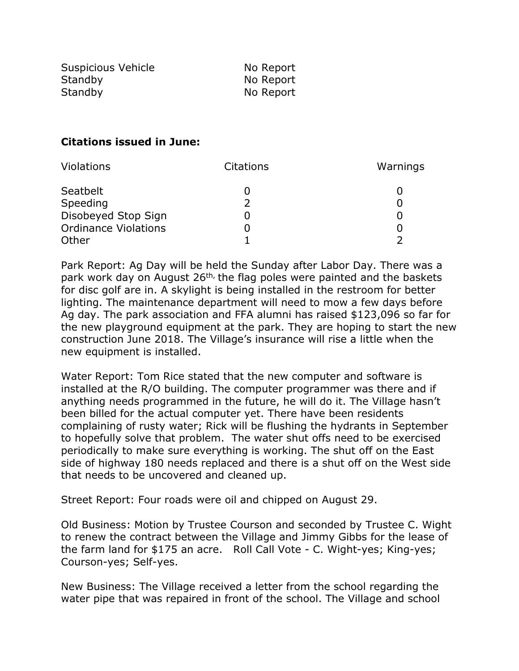| Suspicious Vehicle | No Report |
|--------------------|-----------|
| Standby            | No Report |
| Standby            | No Report |

## **Citations issued in June:**

| <b>Violations</b>           | Citations | Warnings |
|-----------------------------|-----------|----------|
| Seatbelt                    |           |          |
| Speeding                    |           |          |
| Disobeyed Stop Sign         |           |          |
| <b>Ordinance Violations</b> |           |          |
| Other                       |           |          |

Park Report: Ag Day will be held the Sunday after Labor Day. There was a park work day on August 26<sup>th,</sup> the flag poles were painted and the baskets for disc golf are in. A skylight is being installed in the restroom for better lighting. The maintenance department will need to mow a few days before Ag day. The park association and FFA alumni has raised \$123,096 so far for the new playground equipment at the park. They are hoping to start the new construction June 2018. The Village's insurance will rise a little when the new equipment is installed.

Water Report: Tom Rice stated that the new computer and software is installed at the R/O building. The computer programmer was there and if anything needs programmed in the future, he will do it. The Village hasn't been billed for the actual computer yet. There have been residents complaining of rusty water; Rick will be flushing the hydrants in September to hopefully solve that problem. The water shut offs need to be exercised periodically to make sure everything is working. The shut off on the East side of highway 180 needs replaced and there is a shut off on the West side that needs to be uncovered and cleaned up.

Street Report: Four roads were oil and chipped on August 29.

Old Business: Motion by Trustee Courson and seconded by Trustee C. Wight to renew the contract between the Village and Jimmy Gibbs for the lease of the farm land for \$175 an acre. Roll Call Vote - C. Wight-yes; King-yes; Courson-yes; Self-yes.

New Business: The Village received a letter from the school regarding the water pipe that was repaired in front of the school. The Village and school